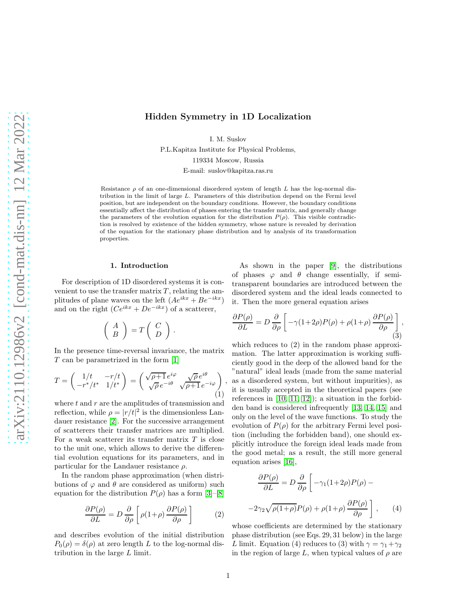# Hidden Symmetry in 1D Localization

I. M. Suslov

P.L.Kapitza Institute for Physical Problems, 119334 Moscow, Russia

E-mail: suslov@kapitza.ras.ru

Resistance  $\rho$  of an one-dimensional disordered system of length L has the log-normal distribution in the limit of large L. Parameters of this distribution depend on the Fermi level position, but are independent on the boundary conditions. However, the boundary conditions essentially affect the distribution of phases entering the transfer matrix, and generally change the parameters of the evolution equation for the distribution  $P(\rho)$ . This visible contradiction is resolved by existence of the hidden symmetry, whose nature is revealed by derivation of the equation for the stationary phase distribution and by analysis of its transformation properties.

,

#### 1. Introduction

For description of 1D disordered systems it is convenient to use the transfer matrix  $T$ , relating the amplitudes of plane waves on the left  $(Ae^{ikx} + Be^{-ikx})$ and on the right  $(Ce^{ikx} + De^{-ikx})$  of a scatterer,

$$
\left(\begin{array}{c} A \\ B \end{array}\right) = T \left(\begin{array}{c} C \\ D \end{array}\right).
$$

In the presence time-reversal invariance, the matrix T can be parametrized in the form [\[1\]](#page-7-0)

$$
T = \begin{pmatrix} 1/t & -r/t \\ -r^*/t^* & 1/t^* \end{pmatrix} = \begin{pmatrix} \sqrt{\rho+1} e^{i\varphi} & \sqrt{\rho} e^{i\theta} \\ \sqrt{\rho} e^{-i\theta} & \sqrt{\rho+1} e^{-i\varphi} \end{pmatrix} (1)
$$

where  $t$  and  $r$  are the amplitudes of transmission and reflection, while  $\rho = |r/t|^2$  is the dimensionless Landauer resistance [\[2\]](#page-7-1). For the successive arrangement of scatterers their transfer matrices are multiplied. For a weak scatterer its transfer matrix  $T$  is close to the unit one, which allows to derive the differential evolution equations for its parameters, and in particular for the Landauer resistance  $\rho$ .

In the random phase approximation (when distributions of  $\varphi$  and  $\theta$  are considered as uniform) such equation for the distribution  $P(\rho)$  has a form [\[3\]](#page-7-2)–[\[8\]](#page-7-3)

$$
\frac{\partial P(\rho)}{\partial L} = D \frac{\partial}{\partial \rho} \left[ \rho (1 + \rho) \frac{\partial P(\rho)}{\partial \rho} \right] \tag{2}
$$

and describes evolution of the initial distribution  $P_0(\rho) = \delta(\rho)$  at zero length L to the log-normal distribution in the large L limit.

As shown in the paper [\[9\]](#page-7-4), the distributions of phases  $\varphi$  and  $\theta$  change essentially, if semitransparent boundaries are introduced between the disordered system and the ideal leads connected to it. Then the more general equation arises

$$
\frac{\partial P(\rho)}{\partial L} = D \frac{\partial}{\partial \rho} \left[ -\gamma (1 + 2\rho) P(\rho) + \rho (1 + \rho) \frac{\partial P(\rho)}{\partial \rho} \right],
$$
\n(3)

which reduces to (2) in the random phase approximation. The latter approximation is working sufficiently good in the deep of the allowed band for the "natural" ideal leads (made from the same material as a disordered system, but without impurities), as it is usually accepted in the theoretical papers (see references in  $[10, 11, 12]$  $[10, 11, 12]$  $[10, 11, 12]$ ; a situation in the forbidden band is considered infrequently [\[13,](#page-7-8) [14,](#page-7-9) [15\]](#page-7-10) and only on the level of the wave functions. To study the evolution of  $P(\rho)$  for the arbitrary Fermi level position (including the forbidden band), one should explicitly introduce the foreign ideal leads made from the good metal; as a result, the still more general equation arises [\[16\]](#page-7-11),

$$
\frac{\partial P(\rho)}{\partial L} = D \frac{\partial}{\partial \rho} \left[ -\gamma_1 (1 + 2\rho) P(\rho) - 2\gamma_2 \sqrt{\rho(1 + \rho)} P(\rho) + \rho(1 + \rho) \frac{\partial P(\rho)}{\partial \rho} \right], \qquad (4)
$$

whose coefficients are determined by the stationary phase distribution (see Eqs. 29, 31 below) in the large L limit. Equation (4) reduces to (3) with  $\gamma = \gamma_1 + \gamma_2$ in the region of large L, when typical values of  $\rho$  are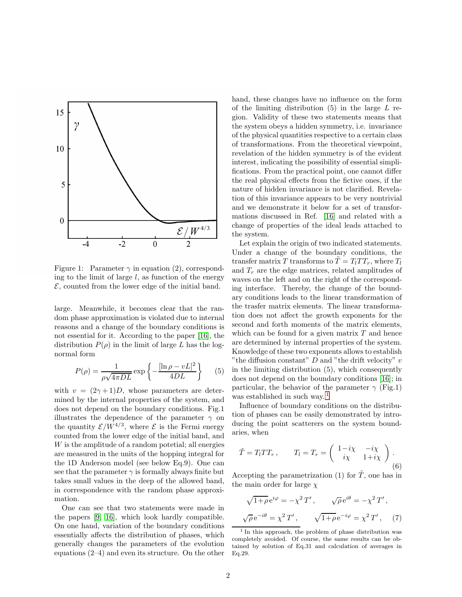

Figure 1: Parameter  $\gamma$  in equation (2), corresponding to the limit of large  $l$ , as function of the energy  $\mathcal{E}$ , counted from the lower edge of the initial band.

large. Meanwhile, it becomes clear that the random phase approximation is violated due to internal reasons and a change of the boundary conditions is not essential for it. According to the paper [\[16\]](#page-7-11), the distribution  $P(\rho)$  in the limit of large L has the lognormal form

$$
P(\rho) = \frac{1}{\rho\sqrt{4\pi DL}} \exp\left\{-\frac{[\ln \rho - vL]^2}{4DL}\right\} \tag{5}
$$

with  $v = (2\gamma + 1)D$ , whose parameters are determined by the internal properties of the system, and does not depend on the boundary conditions. Fig.1 illustrates the dependence of the parameter  $\gamma$  on the quantity  $\mathcal{E}/W^{4/3}$ , where  $\mathcal{E}$  is the Fermi energy counted from the lower edge of the initial band, and W is the amplitude of a random potetial; all energies are measured in the units of the hopping integral for the 1D Anderson model (see below Eq.9). One can see that the parameter  $\gamma$  is formally always finite but takes small values in the deep of the allowed band, in correspondence with the random phase approximation.

One can see that two statements were made in the papers [\[9,](#page-7-4) [16\]](#page-7-11), which look hardly compatible. On one hand, variation of the boundary conditions essentially affects the distribution of phases, which generally changes the parameters of the evolution equations (2–4) and even its structure. On the other hand, these changes have no influence on the form of the limiting distribution  $(5)$  in the large L region. Validity of these two statements means that the system obeys a hidden symmetry, i.e. invariance of the physical quantities respective to a certain class of transformations. From the theoretical viewpoint, revelation of the hidden symmetry is of the evident interest, indicating the possibility of essential simplifications. From the practical point, one cannot differ the real physical effects from the fictive ones, if the nature of hidden invariance is not clarified. Revelation of this invariance appears to be very nontrivial and we demonstrate it below for a set of transformations discussed in Ref. [\[16\]](#page-7-11) and related with a change of properties of the ideal leads attached to the system.

Let explain the origin of two indicated statements. Under a change of the boundary conditions, the transfer matrix T transforms to  $\ddot{T} = T_l T T_r$ , where  $T_l$ and  $T_r$  are the edge matrices, related amplitudes of waves on the left and on the right of the corresponding interface. Thereby, the change of the boundary conditions leads to the linear transformation of the trasfer matrix elements. The linear transformation does not affect the growth exponents for the second and forth moments of the matrix elements, which can be found for a given matrix  $T$  and hence are determined by internal properties of the system. Knowledge of these two exponents allows to establish "the diffusion constant"  $D$  and "the drift velocity"  $v$ in the limiting distribution (5), which consequently does not depend on the boundary conditions [\[16\]](#page-7-11); in particular, the behavior of the parameter  $\gamma$  (Fig.1) was established in such way.<sup>[1](#page-1-0)</sup>

Influence of boundary conditions on the distribution of phases can be easily demonstrated by introducing the point scatterers on the system boundaries, when

$$
\tilde{T} = T_l T T_r, \qquad T_l = T_r = \begin{pmatrix} 1 - i\chi & -i\chi \\ i\chi & 1 + i\chi \end{pmatrix}.
$$
\n(6)

Accepting the parametrization (1) for  $\tilde{T}$ , one has in the main order for large  $\chi$ 

$$
\sqrt{1+\rho}e^{i\varphi} = -\chi^2 T', \qquad \sqrt{\rho}e^{i\theta} = -\chi^2 T',
$$

$$
\sqrt{\rho}e^{-i\theta} = \chi^2 T', \qquad \sqrt{1+\rho}e^{-i\varphi} = \chi^2 T', \qquad (7)
$$

<span id="page-1-0"></span><sup>&</sup>lt;sup>1</sup> In this approach, the problem of phase distribution was completely avoided. Of course, the same results can be obtained by solution of Eq.31 and calculation of averages in Eq.29.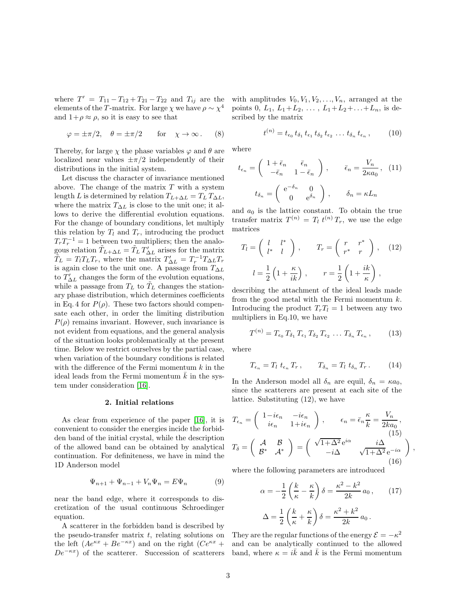where  $T' = T_{11} - T_{12} + T_{21} - T_{22}$  and  $T_{ij}$  are the elements of the T-matrix. For large  $\chi$  we have  $\rho \sim \chi^4$ and  $1+\rho \approx \rho$ , so it is easy to see that

$$
\varphi = \pm \pi/2, \quad \theta = \pm \pi/2 \quad \text{for} \quad \chi \to \infty.
$$
 (8)

Thereby, for large  $\chi$  the phase variables  $\varphi$  and  $\theta$  are localized near values  $\pm \pi/2$  independently of their distributions in the initial system.

Let discuss the character of invariance mentioned above. The change of the matrix  $T$  with a system length L is determined by relation  $T_{L+\Delta L} = T_L T_{\Delta L}$ , where the matrix  $T_{\Delta L}$  is close to the unit one; it allows to derive the differential evolution equations. For the change of boundary conditions, let multiply this relation by  $T_l$  and  $T_r$ , introducing the product  $T_r T_r^{-1} = 1$  between two multipliers; then the analogous relation  $\tilde{T}_{L+\Delta L} = \tilde{T}_L T'_{\Delta L}$  arises for the matrix  $\widetilde{T}_L = T_l T_L T_r$ , where the matrix  $T'_{\Delta L} = T_r^{-1} T_{\Delta L} T_r$ is again close to the unit one. A passage from  $T_{\Delta L}$ to  $T'_{\Delta L}$  changes the form of the evolution equations, while a passage from  $T_L$  to  $T_L$  changes the stationary phase distribution, which determines coefficients in Eq. 4 for  $P(\rho)$ . These two factors should compensate each other, in order the limiting distribution  $P(\rho)$  remains invariant. However, such invariance is not evident from equations, and the general analysis of the situation looks problematically at the present time. Below we restrict ourselves by the partial case, when variation of the boundary conditions is related with the difference of the Fermi momentum  $k$  in the ideal leads from the Fermi momentum  $\overline{k}$  in the system under consideration [\[16\]](#page-7-11).

### 2. Initial relations

As clear from experience of the paper [\[16\]](#page-7-11), it is convenient to consider the energies incide the forbidden band of the initial crystal, while the description of the allowed band can be obtained by analytical continuation. For definiteness, we have in mind the 1D Anderson model

$$
\Psi_{n+1} + \Psi_{n-1} + V_n \Psi_n = E \Psi_n \tag{9}
$$

near the band edge, where it corresponds to discretization of the usual continuous Schroedinger equation.

A scatterer in the forbidden band is described by the pseudo-transfer matrix  $t$ , relating solutions on the left  $(Ae^{\kappa x} + Be^{-\kappa x})$  and on the right  $(Ce^{\kappa x} +$  $De^{-\kappa x}$ ) of the scatterer. Succession of scatterers band, where  $\kappa = i\bar{k}$  and  $\bar{k}$  is the Fermi momentum

with amplitudes  $V_0, V_1, V_2, \ldots, V_n$ , arranged at the points 0,  $L_1$ ,  $L_1+L_2$ ,  $\ldots$ ,  $L_1+L_2+\ldots+L_n$ , is described by the matrix

$$
t^{(n)} = t_{\epsilon_0} t_{\delta_1} t_{\epsilon_1} t_{\delta_2} t_{\epsilon_2} \dots t_{\delta_n} t_{\epsilon_n}, \qquad (10)
$$

where

$$
t_{\epsilon_n} = \begin{pmatrix} 1 + \bar{\epsilon}_n & \bar{\epsilon}_n \\ -\bar{\epsilon}_n & 1 - \bar{\epsilon}_n \end{pmatrix}, \qquad \bar{\epsilon}_n = \frac{V_n}{2\kappa a_0}, \quad (11)
$$

$$
t_{\delta_n} = \begin{pmatrix} e^{-\delta_n} & 0 \\ 0 & e^{\delta_n} \end{pmatrix}, \qquad \delta_n = \kappa L_n
$$

and  $a_0$  is the lattice constant. To obtain the true transfer matrix  $T^{(n)} = T_l t^{(n)} T_r$ , we use the edge matrices

$$
T_l = \begin{pmatrix} l & l^* \\ l^* & l \end{pmatrix}, \qquad T_r = \begin{pmatrix} r & r^* \\ r^* & r \end{pmatrix}, \quad (12)
$$

$$
l = \frac{1}{2} \left( 1 + \frac{\kappa}{ik} \right), \qquad r = \frac{1}{2} \left( 1 + \frac{ik}{\kappa} \right),
$$

describing the attachment of the ideal leads made from the good metal with the Fermi momentum  $k$ . Introducing the product  $T_rT_l = 1$  between any two multipliers in Eq.10, we have

$$
T^{(n)} = T_{\epsilon_0} T_{\delta_1} T_{\epsilon_1} T_{\delta_2} T_{\epsilon_2} \dots T_{\delta_n} T_{\epsilon_n}, \qquad (13)
$$

where

$$
T_{\epsilon_n} = T_l \ t_{\epsilon_n} \ T_r \,, \qquad T_{\delta_n} = T_l \ t_{\delta_n} \ T_r \,. \tag{14}
$$

In the Anderson model all  $\delta_n$  are equil,  $\delta_n = \kappa a_0$ , since the scatterers are present at each site of the lattice. Substituting (12), we have

$$
T_{\epsilon_n} = \begin{pmatrix} 1 - i\epsilon_n & -i\epsilon_n \\ i\epsilon_n & 1 + i\epsilon_n \end{pmatrix}, \qquad \epsilon_n = \bar{\epsilon}_n \frac{\kappa}{k} = \frac{V_n}{2ka_0},
$$
  
\n
$$
T_{\delta} = \begin{pmatrix} \mathcal{A} & \mathcal{B} \\ \mathcal{B}^* & \mathcal{A}^* \end{pmatrix} = \begin{pmatrix} \sqrt{1 + \Delta^2} e^{i\alpha} & i\Delta \\ -i\Delta & \sqrt{1 + \Delta^2} e^{-i\alpha} \end{pmatrix},
$$
  
\n(16)

where the following parameters are introduced

$$
\alpha = -\frac{1}{2} \left( \frac{k}{\kappa} - \frac{\kappa}{k} \right) \delta = \frac{\kappa^2 - k^2}{2k} a_0, \qquad (17)
$$

$$
\Delta = \frac{1}{2} \left( \frac{k}{\kappa} + \frac{\kappa}{k} \right) \delta = \frac{\kappa^2 + k^2}{2k} a_0.
$$

They are the regular functions of the energy  $\mathcal{E} = -\kappa^2$ and can be analytically continued to the allowed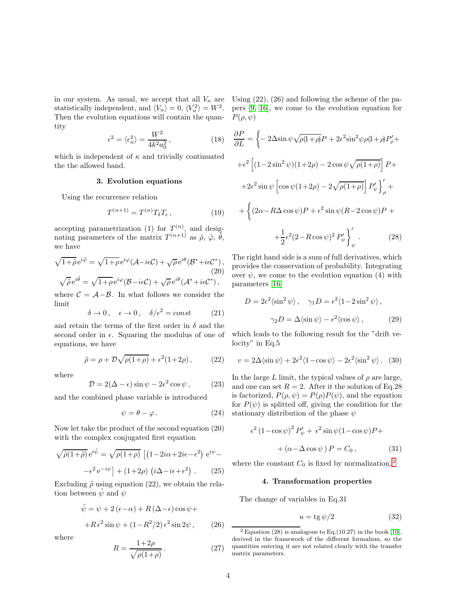in our system. As usual, we accept that all  $V_n$  are Using  $(22)$ ,  $(26)$  and following the scheme of the pastatistically independent, and  $\langle V_n \rangle = 0$ ,  $\langle V_n^2 \rangle = W^2$ . pers [\[9,](#page-7-4) [16\]](#page-7-11), we come to the evolution equation for Then the evolution equations will contain the quan-  $P(\rho, \psi)$ tity

$$
\epsilon^2 = \langle \epsilon_n^2 \rangle = \frac{W^2}{4k^2 a_0^2},\tag{18}
$$

which is independent of  $\kappa$  and trivially continuated the the allowed band.

## 3. Evolution equations

Using the recurrence relation

$$
T^{(n+1)} = T^{(n)} T_{\delta} T_{\epsilon} , \qquad (19)
$$

accepting parametrization (1) for  $T^{(n)}$ , and designating parameters of the matrix  $T^{(n+1)}$  as  $\tilde{\rho}$ ,  $\tilde{\varphi}$ ,  $\tilde{\theta}$ , we have

$$
\sqrt{1+\tilde{\rho}}e^{i\tilde{\varphi}} = \sqrt{1+\rho}e^{i\varphi}(\mathcal{A}-i\epsilon\mathcal{C}) + \sqrt{\rho}e^{i\theta}(\mathcal{B}^*+i\epsilon\mathcal{C}^*),
$$
  
(20)  

$$
\sqrt{\tilde{\rho}}e^{i\tilde{\theta}} = \sqrt{1+\rho}e^{i\varphi}(\mathcal{B}-i\epsilon\mathcal{C}) + \sqrt{\rho}e^{i\theta}(\mathcal{A}^*+i\epsilon\mathcal{C}^*),
$$

where  $C = \mathcal{A} - \mathcal{B}$ . In what follows we consider the limit

$$
\delta \to 0 \,, \quad \epsilon \to 0 \,, \quad \delta/\epsilon^2 = const \tag{21}
$$

and retain the terms of the first order in  $\delta$  and the second order in  $\epsilon$ . Squaring the modulus of one of equations, we have

$$
\tilde{\rho} = \rho + \mathcal{D}\sqrt{\rho(1+\rho)} + \epsilon^2(1+2\rho), \qquad (22)
$$

where

$$
\mathcal{D} = 2(\Delta - \epsilon) \sin \psi - 2\epsilon^2 \cos \psi, \qquad (23)
$$

and the combined phase variable is introduced

$$
\psi = \theta - \varphi. \tag{24}
$$

Now let take the product of the second equation (20) with the complex conjugated first equation

$$
\sqrt{\tilde{\rho}(1+\tilde{\rho})} e^{i\tilde{\psi}} = \sqrt{\rho(1+\rho)} \left[ \left( 1 - 2i\alpha + 2i\epsilon - \epsilon^2 \right) e^{i\psi} - \right. \\ \left. - \epsilon^2 e^{-i\psi} \right] + (1+2\rho) \left( i\Delta - i\epsilon + \epsilon^2 \right) \,. \tag{25}
$$

Excluding  $\tilde{\rho}$  using equation (22), we obtain the relation between  $\psi$  and  $\psi$ 

$$
\tilde{\psi} = \psi + 2(\epsilon - \alpha) + R(\Delta - \epsilon)\cos\psi ++R\epsilon^2\sin\psi + (1 - R^2/2)\epsilon^2\sin 2\psi,
$$
 (26)

where

$$
R = \frac{1+2\rho}{\sqrt{\rho(1+\rho)}}.\t(27)
$$

$$
\frac{\partial P}{\partial L} = \left\{-2\Delta\sin\psi\sqrt{\rho(1+\rho)}P + 2\epsilon^2\sin^2\psi\rho(1+\rho)P'_\rho + \right.
$$

$$
+ \epsilon^2 \left[ (1-2\sin^2\psi)(1+2\rho) - 2\cos\psi\sqrt{\rho(1+\rho)} \right] P +
$$

$$
+ 2\epsilon^2\sin\psi\left[\cos\psi(1+2\rho) - 2\sqrt{\rho(1+\rho)}\right]P'_\psi\right]'_\rho +
$$

$$
+ \left\{(2\alpha - R\Delta\cos\psi)P + \epsilon^2\sin\psi(R - 2\cos\psi)P + \right.
$$

$$
+ \frac{1}{2}\epsilon^2(2 - R\cos\psi)^2 P'_\psi\right]'_\psi.
$$
(28)

The right hand side is a sum of full derivatives, which provides the conservation of probability. Integrating over  $\psi$ , we come to the evolution equation (4) with parameters [\[16\]](#page-7-11)

$$
D = 2\epsilon^2 \langle \sin^2 \psi \rangle, \quad \gamma_1 D = \epsilon^2 \langle 1 - 2\sin^2 \psi \rangle,
$$

$$
\gamma_2 D = \Delta \langle \sin \psi \rangle - \epsilon^2 \langle \cos \psi \rangle,
$$
(29)

which leads to the following result for the "drift velocity" in Eq.5

$$
v = 2\Delta \langle \sin \psi \rangle + 2\epsilon^2 \langle 1 - \cos \psi \rangle - 2\epsilon^2 \langle \sin^2 \psi \rangle. \tag{30}
$$

In the large L limit, the typical values of  $\rho$  are large, and one can set  $R = 2$ . After it the solution of Eq.28 is factorized,  $P(\rho, \psi) = P(\rho)P(\psi)$ , and the equation for  $P(\psi)$  is splitted off, giving the condition for the stationary distribution of the phase  $\psi$ 

$$
\epsilon^2 (1 - \cos \psi)^2 P'_{\psi} + \epsilon^2 \sin \psi (1 - \cos \psi) P +
$$

$$
+ (\alpha - \Delta \cos \psi) P = C_0 , \qquad (31)
$$

where the constant  $C_0$  is fixed by normalization.<sup>[2](#page-3-0)</sup>

## 4. Transformation properties

The change of variables in Eq.31

$$
u = \text{tg}\,\psi/2\tag{32}
$$

<span id="page-3-0"></span><sup>&</sup>lt;sup>2</sup> Equation (28) is analogous to Eq.  $(10.27)$  in the book [\[10\]](#page-7-5), derived in the framework of the different formalism, so the quantities entering it are not related clearly with the transfer matrix parameters.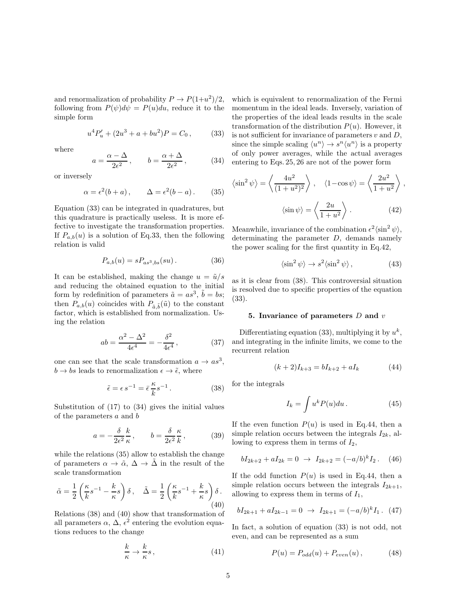and renormalization of probability  $P \to P(1+u^2)/2$ , following from  $P(\psi)d\psi = P(u)du$ , reduce it to the simple form

$$
u^{4}P'_{u} + (2u^{3} + a + bu^{2})P = C_{0}, \qquad (33)
$$

where

$$
a = \frac{\alpha - \Delta}{2\epsilon^2}, \qquad b = \frac{\alpha + \Delta}{2\epsilon^2}, \tag{34}
$$

or inversely

$$
\alpha = \epsilon^2(b+a), \qquad \Delta = \epsilon^2(b-a). \tag{35}
$$

Equation (33) can be integrated in quadratures, but this quadrature is practically useless. It is more effective to investigate the transformation properties. If  $P_{a,b}(u)$  is a solution of Eq.33, then the following relation is valid

$$
P_{a,b}(u) = sP_{as^3,bs}(su). \tag{36}
$$

It can be established, making the change  $u = \tilde{u}/s$ and reducing the obtained equation to the initial form by redefinition of parameters  $\tilde{a} = as^3$ ,  $\tilde{b} = bs$ ; then  $P_{a,b}(u)$  coincides with  $P_{\tilde{a},\tilde{b}}(\tilde{u})$  to the constant factor, which is established from normalization. Using the relation

$$
ab = \frac{\alpha^2 - \Delta^2}{4\epsilon^4} = -\frac{\delta^2}{4\epsilon^4},
$$
 (37)

one can see that the scale transformation  $a \to as^3$ ,  $b \rightarrow bs$  leads to renormalization  $\epsilon \rightarrow \tilde{\epsilon}$ , where

$$
\tilde{\epsilon} = \epsilon s^{-1} = \bar{\epsilon} \frac{\kappa}{k} s^{-1}.
$$
\n(38)

Substitution of (17) to (34) gives the initial values of the parameters a and b

$$
a = -\frac{\delta}{2\epsilon^2} \frac{k}{\kappa}, \qquad b = \frac{\delta}{2\epsilon^2} \frac{\kappa}{k}, \tag{39}
$$

while the relations (35) allow to establish the change of parameters  $\alpha \to \tilde{\alpha}, \Delta \to \tilde{\Delta}$  in the result of the scale transformation

$$
\tilde{\alpha} = \frac{1}{2} \left( \frac{\kappa}{k} s^{-1} - \frac{k}{\kappa} s \right) \delta, \quad \tilde{\Delta} = \frac{1}{2} \left( \frac{\kappa}{k} s^{-1} + \frac{k}{\kappa} s \right) \delta.
$$
\n(40)

Relations (38) and (40) show that transformation of all parameters  $\alpha$ ,  $\Delta$ ,  $\epsilon^2$  entering the evolution equations reduces to the change

$$
\frac{k}{\kappa} \to \frac{k}{\kappa} s \,,\tag{41}
$$

which is equivalent to renormalization of the Fermi momentum in the ideal leads. Inversely, variation of the properties of the ideal leads results in the scale transformation of the distribution  $P(u)$ . However, it is not sufficient for invariance of parameters  $v$  and  $D$ , since the simple scaling  $\langle u^n \rangle \to s^n \langle u^n \rangle$  is a property of only power averages, while the actual averages entering to Eqs. 25, 26 are not of the power form

$$
\langle \sin^2 \psi \rangle = \left\langle \frac{4u^2}{(1+u^2)^2} \right\rangle, \quad \langle 1 - \cos \psi \rangle = \left\langle \frac{2u^2}{1+u^2} \right\rangle,
$$

$$
\langle \sin \psi \rangle = \left\langle \frac{2u}{1+u^2} \right\rangle.
$$
(42)

Meanwhile, invariance of the combination  $\epsilon^2 \langle \sin^2 \psi \rangle$ , determinating the parameter D, demands namely the power scaling for the first quantity in Eq.42,

$$
\langle \sin^2 \psi \rangle \to s^2 \langle \sin^2 \psi \rangle , \qquad (43)
$$

as it is clear from (38). This controversial situation is resolved due to specific properties of the equation (33).

#### 5. Invariance of parameters  $D$  and  $v$

Differentiating equation (33), multiplying it by  $u^k$ , and integrating in the infinite limits, we come to the recurrent relation

$$
(k+2)I_{k+3} = bI_{k+2} + aI_k \tag{44}
$$

for the integrals

$$
I_k = \int u^k P(u) du.
$$
 (45)

If the even function  $P(u)$  is used in Eq.44, then a simple relation occurs between the integrals  $I_{2k}$ , allowing to express them in terms of  $I_2$ ,

$$
bI_{2k+2} + aI_{2k} = 0 \rightarrow I_{2k+2} = (-a/b)^k I_2. \quad (46)
$$

If the odd function  $P(u)$  is used in Eq.44, then a simple relation occurs between the integrals  $I_{2k+1}$ , allowing to express them in terms of  $I_1$ ,

$$
bI_{2k+1} + aI_{2k-1} = 0 \rightarrow I_{2k+1} = (-a/b)^k I_1.
$$
 (47)

In fact, a solution of equation (33) is not odd, not even, and can be represented as a sum

$$
P(u) = P_{odd}(u) + P_{even}(u), \qquad (48)
$$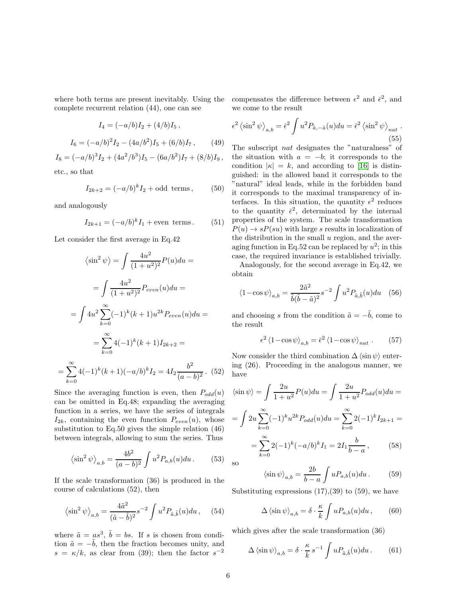where both terms are present inevitably. Using the complete recurrent relation (44), one can see

$$
I_4 = (-a/b)I_2 + (4/b)I_5,
$$
  

$$
I_6 = (-a/b)^2 I_2 - (4a/b^2)I_5 + (6/b)I_7,
$$
 (49)

$$
I_8 = (-a/b)^3 I_2 + (4a^2/b^3)I_5 - (6a/b^2)I_7 + (8/b)I_9,
$$

etc., so that

=

$$
I_{2k+2} = (-a/b)^k I_2 + \text{odd terms}, \quad (50)
$$

and analogously

$$
I_{2k+1} = (-a/b)^k I_1 + \text{even terms.} \tag{51}
$$

Let consider the first average in Eq.42

$$
\langle \sin^2 \psi \rangle = \int \frac{4u^2}{(1+u^2)^2} P(u) du =
$$
  
= 
$$
\int \frac{4u^2}{(1+u^2)^2} P_{even}(u) du =
$$
  
= 
$$
\int 4u^2 \sum_{k=0}^{\infty} (-1)^k (k+1) u^{2k} P_{even}(u) du =
$$
  
= 
$$
\sum_{k=0}^{\infty} 4(-1)^k (k+1) I_{2k+2} =
$$
  

$$
\sum_{k=0}^{\infty} 4(-1)^k (k+1) (-a/b)^k I_2 = 4I_2 \frac{b^2}{(a-b)^2}.
$$
 (52)

Since the averaging function is even, then  $P_{odd}(u)$ can be omitted in Eq.48; expanding the averaging function in a series, we have the series of integrals  $I_{2k}$ , containing the even function  $P_{even}(u)$ , whose substitution to Eq.50 gives the simple relation (46) between integrals, allowing to sum the series. Thus

$$
\left\langle \sin^2 \psi \right\rangle_{a,b} = \frac{4b^2}{(a-b)^2} \int u^2 P_{a,b}(u) du. \tag{53}
$$

If the scale transformation (36) is produced in the course of calculations (52), then

$$
\left\langle \sin^2 \psi \right\rangle_{a,b} = \frac{4\tilde{a}^2}{(\tilde{a} - \tilde{b})^2} s^{-2} \int u^2 P_{\tilde{a},\tilde{b}}(u) du \,, \quad (54)
$$

where  $\tilde{a} = as^3$ ,  $\tilde{b} = bs$ . If s is chosen from condition  $\tilde{a} = -\tilde{b}$ , then the fraction becomes unity, and  $s = \kappa/k$ , as clear from (39); then the factor  $s^{-2}$ 

compensates the difference between  $\epsilon^2$  and  $\bar{\epsilon}^2$ , and we come to the result

$$
\epsilon^2 \left\langle \sin^2 \psi \right\rangle_{a,b} = \bar{\epsilon}^2 \int u^2 P_{\tilde{a},-\tilde{a}}(u) du = \bar{\epsilon}^2 \left\langle \sin^2 \psi \right\rangle_{nat} .
$$
\n(55)

The subscript *nat* designates the "naturalness" of the situation with  $a = -b$ ; it corresponds to the condition  $|\kappa| = k$ , and according to [\[16\]](#page-7-11) is distinguished: in the allowed band it corresponds to the "natural" ideal leads, while in the forbidden band it corresponds to the maximal transparency of interfaces. In this situation, the quantity  $\epsilon^2$  reduces to the quantity  $\bar{\epsilon}^2$ , determinated by the internal properties of the system. The scale transformation  $P(u) \rightarrow sP(su)$  with large s results in localization of the distribution in the small  $u$  region, and the averaging function in Eq.52 can be replaced by  $u^2$ ; in this case, the required invariance is established trivially.

Analogously, for the second average in Eq.42, we obtain

$$
\langle 1 - \cos \psi \rangle_{a,b} = \frac{2\tilde{a}^2}{\tilde{b}(\tilde{b} - \tilde{a})^2} s^{-2} \int u^2 P_{\tilde{a},\tilde{b}}(u) du \quad (56)
$$

and choosing s from the condition  $\tilde{a} = -\tilde{b}$ , come to the result

$$
\epsilon^2 \left\langle 1 - \cos \psi \right\rangle_{a,b} = \bar{\epsilon}^2 \left\langle 1 - \cos \psi \right\rangle_{nat} . \tag{57}
$$

Now consider the third combination  $\Delta \langle \sin \psi \rangle$  entering (26). Proceeding in the analogous manner, we have

$$
\langle \sin \psi \rangle = \int \frac{2u}{1+u^2} P(u) du = \int \frac{2u}{1+u^2} P_{odd}(u) du =
$$

$$
= \int 2u \sum_{k=0}^{\infty} (-1)^k u^{2k} P_{odd}(u) du = \sum_{k=0}^{\infty} 2(-1)^k I_{2k+1} =
$$

$$
= \sum_{k=0}^{\infty} 2(-1)^k (-a/b)^k I_1 = 2I_1 \frac{b}{b-a}, \qquad (58)
$$
so

$$
\langle \sin \psi \rangle_{a,b} = \frac{2b}{b-a} \int u P_{a,b}(u) du. \tag{59}
$$

Substituting expressions  $(17),(39)$  to  $(59)$ , we have

$$
\Delta \langle \sin \psi \rangle_{a,b} = \delta \cdot \frac{\kappa}{k} \int u P_{a,b}(u) du , \qquad (60)
$$

which gives after the scale transformation (36)

$$
\Delta \langle \sin \psi \rangle_{a,b} = \delta \cdot \frac{\kappa}{k} s^{-1} \int u P_{\tilde{a},\tilde{b}}(u) du. \tag{61}
$$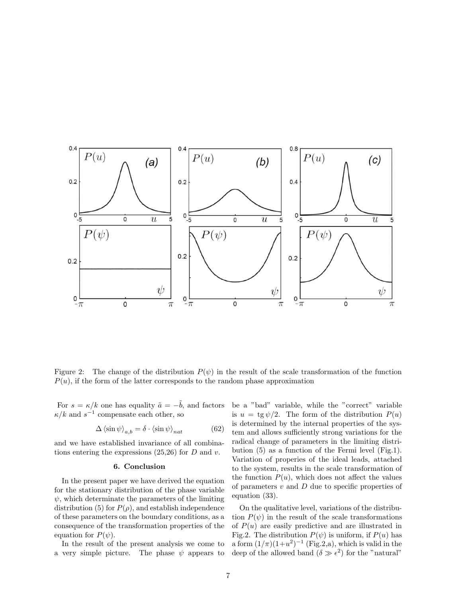

Figure 2: The change of the distribution  $P(\psi)$  in the result of the scale transformation of the function  $P(u)$ , if the form of the latter corresponds to the random phase approximation

For  $s = \kappa / k$  one has equality  $\tilde{a} = -\tilde{b}$ , and factors  $\kappa/k$  and  $s^{-1}$  compensate each other, so

$$
\Delta \langle \sin \psi \rangle_{a,b} = \delta \cdot \langle \sin \psi \rangle_{nat} \tag{62}
$$

and we have established invariance of all combinations entering the expressions  $(25,26)$  for D and v.

# 6. Conclusion

In the present paper we have derived the equation for the stationary distribution of the phase variable  $\psi$ , which determinate the parameters of the limiting distribution (5) for  $P(\rho)$ , and establish independence of these parameters on the boundary conditions, as a consequence of the transformation properties of the equation for  $P(\psi)$ .

In the result of the present analysis we come to a very simple picture. The phase  $\psi$  appears to be a "bad" variable, while the "correct" variable is  $u = \text{tg }\psi/2$ . The form of the distribution  $P(u)$ is determined by the internal properties of the system and allows sufficiently strong variations for the radical change of parameters in the limiting distribution (5) as a function of the Fermi level (Fig.1). Variation of properies of the ideal leads, attached to the system, results in the scale transformation of the function  $P(u)$ , which does not affect the values of parameters  $v$  and  $D$  due to specific properties of equation (33).

On the qualitative level, variations of the distribution  $P(\psi)$  in the result of the scale transformations of  $P(u)$  are easily predictive and are illustrated in Fig.2. The distribution  $P(\psi)$  is uniform, if  $P(u)$  has a form  $(1/\pi)(1+u^2)^{-1}$  (Fig.2,a), which is valid in the deep of the allowed band  $(\delta \gg \epsilon^2)$  for the "natural"